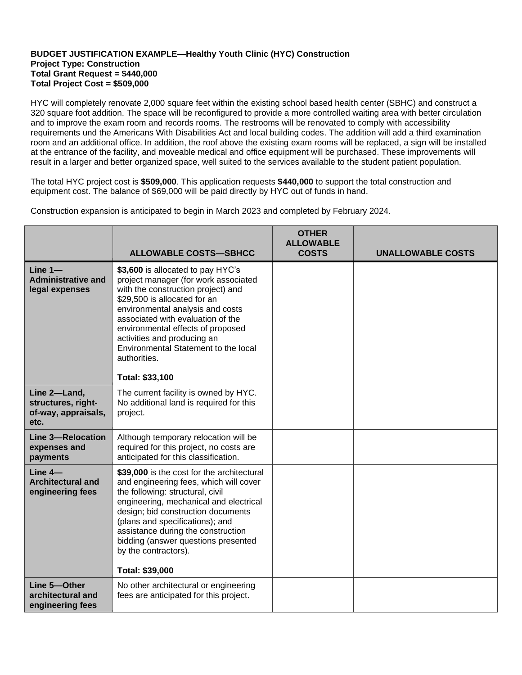## **BUDGET JUSTIFICATION EXAMPLE—Healthy Youth Clinic (HYC) Construction Project Type: Construction Total Grant Request = \$440,000 Total Project Cost = \$509,000**

HYC will completely renovate 2,000 square feet within the existing school based health center (SBHC) and construct a 320 square foot addition. The space will be reconfigured to provide a more controlled waiting area with better circulation and to improve the exam room and records rooms. The restrooms will be renovated to comply with accessibility requirements und the Americans With Disabilities Act and local building codes. The addition will add a third examination room and an additional office. In addition, the roof above the existing exam rooms will be replaced, a sign will be installed at the entrance of the facility, and moveable medical and office equipment will be purchased. These improvements will result in a larger and better organized space, well suited to the services available to the student patient population.

The total HYC project cost is **\$509,000**. This application requests **\$440,000** to support the total construction and equipment cost. The balance of \$69,000 will be paid directly by HYC out of funds in hand.

Construction expansion is anticipated to begin in March 2023 and completed by February 2024.

|                                                                   | <b>ALLOWABLE COSTS-SBHCC</b>                                                                                                                                                                                                                                                                                                                                            | <b>OTHER</b><br><b>ALLOWABLE</b><br><b>COSTS</b> | <b>UNALLOWABLE COSTS</b> |
|-------------------------------------------------------------------|-------------------------------------------------------------------------------------------------------------------------------------------------------------------------------------------------------------------------------------------------------------------------------------------------------------------------------------------------------------------------|--------------------------------------------------|--------------------------|
| $Line 1 -$<br><b>Administrative and</b><br>legal expenses         | \$3,600 is allocated to pay HYC's<br>project manager (for work associated<br>with the construction project) and<br>\$29,500 is allocated for an<br>environmental analysis and costs<br>associated with evaluation of the<br>environmental effects of proposed<br>activities and producing an<br>Environmental Statement to the local<br>authorities.<br>Total: \$33,100 |                                                  |                          |
| Line 2-Land,<br>structures, right-<br>of-way, appraisals,<br>etc. | The current facility is owned by HYC.<br>No additional land is required for this<br>project.                                                                                                                                                                                                                                                                            |                                                  |                          |
| Line 3-Relocation<br>expenses and<br>payments                     | Although temporary relocation will be<br>required for this project, no costs are<br>anticipated for this classification.                                                                                                                                                                                                                                                |                                                  |                          |
| $Line 4-$<br><b>Architectural and</b><br>engineering fees         | \$39,000 is the cost for the architectural<br>and engineering fees, which will cover<br>the following: structural, civil<br>engineering, mechanical and electrical<br>design; bid construction documents<br>(plans and specifications); and<br>assistance during the construction<br>bidding (answer questions presented<br>by the contractors).<br>Total: \$39,000     |                                                  |                          |
| Line 5-Other<br>architectural and<br>engineering fees             | No other architectural or engineering<br>fees are anticipated for this project.                                                                                                                                                                                                                                                                                         |                                                  |                          |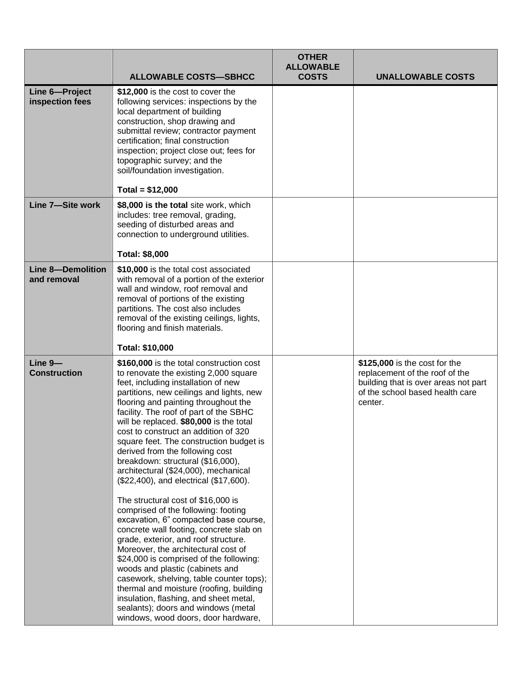|                                         | <b>ALLOWABLE COSTS-SBHCC</b>                                                                                                                                                                                                                                                                                                                                                                                                                                                                                                                                                                                                                                                                                                                                                                                                                                                                                                                                                                                                                                                                | <b>OTHER</b><br><b>ALLOWABLE</b><br><b>COSTS</b> | <b>UNALLOWABLE COSTS</b>                                                                                                                              |
|-----------------------------------------|---------------------------------------------------------------------------------------------------------------------------------------------------------------------------------------------------------------------------------------------------------------------------------------------------------------------------------------------------------------------------------------------------------------------------------------------------------------------------------------------------------------------------------------------------------------------------------------------------------------------------------------------------------------------------------------------------------------------------------------------------------------------------------------------------------------------------------------------------------------------------------------------------------------------------------------------------------------------------------------------------------------------------------------------------------------------------------------------|--------------------------------------------------|-------------------------------------------------------------------------------------------------------------------------------------------------------|
| Line 6-Project<br>inspection fees       | \$12,000 is the cost to cover the<br>following services: inspections by the<br>local department of building<br>construction, shop drawing and<br>submittal review; contractor payment<br>certification; final construction<br>inspection; project close out; fees for<br>topographic survey; and the<br>soil/foundation investigation.                                                                                                                                                                                                                                                                                                                                                                                                                                                                                                                                                                                                                                                                                                                                                      |                                                  |                                                                                                                                                       |
|                                         | Total = $$12,000$                                                                                                                                                                                                                                                                                                                                                                                                                                                                                                                                                                                                                                                                                                                                                                                                                                                                                                                                                                                                                                                                           |                                                  |                                                                                                                                                       |
| Line 7-Site work                        | \$8,000 is the total site work, which<br>includes: tree removal, grading,<br>seeding of disturbed areas and<br>connection to underground utilities.                                                                                                                                                                                                                                                                                                                                                                                                                                                                                                                                                                                                                                                                                                                                                                                                                                                                                                                                         |                                                  |                                                                                                                                                       |
|                                         | <b>Total: \$8,000</b>                                                                                                                                                                                                                                                                                                                                                                                                                                                                                                                                                                                                                                                                                                                                                                                                                                                                                                                                                                                                                                                                       |                                                  |                                                                                                                                                       |
| <b>Line 8-Demolition</b><br>and removal | \$10,000 is the total cost associated<br>with removal of a portion of the exterior<br>wall and window, roof removal and<br>removal of portions of the existing<br>partitions. The cost also includes<br>removal of the existing ceilings, lights,<br>flooring and finish materials.                                                                                                                                                                                                                                                                                                                                                                                                                                                                                                                                                                                                                                                                                                                                                                                                         |                                                  |                                                                                                                                                       |
|                                         | Total: \$10,000                                                                                                                                                                                                                                                                                                                                                                                                                                                                                                                                                                                                                                                                                                                                                                                                                                                                                                                                                                                                                                                                             |                                                  |                                                                                                                                                       |
| Line 9-<br><b>Construction</b>          | \$160,000 is the total construction cost<br>to renovate the existing 2,000 square<br>feet, including installation of new<br>partitions, new ceilings and lights, new<br>flooring and painting throughout the<br>facility. The roof of part of the SBHC<br>will be replaced. \$80,000 is the total<br>cost to construct an addition of 320<br>square feet. The construction budget is<br>derived from the following cost<br>breakdown: structural (\$16,000),<br>architectural (\$24,000), mechanical<br>(\$22,400), and electrical (\$17,600).<br>The structural cost of \$16,000 is<br>comprised of the following: footing<br>excavation, 6" compacted base course,<br>concrete wall footing, concrete slab on<br>grade, exterior, and roof structure.<br>Moreover, the architectural cost of<br>\$24,000 is comprised of the following:<br>woods and plastic (cabinets and<br>casework, shelving, table counter tops);<br>thermal and moisture (roofing, building<br>insulation, flashing, and sheet metal,<br>sealants); doors and windows (metal<br>windows, wood doors, door hardware, |                                                  | \$125,000 is the cost for the<br>replacement of the roof of the<br>building that is over areas not part<br>of the school based health care<br>center. |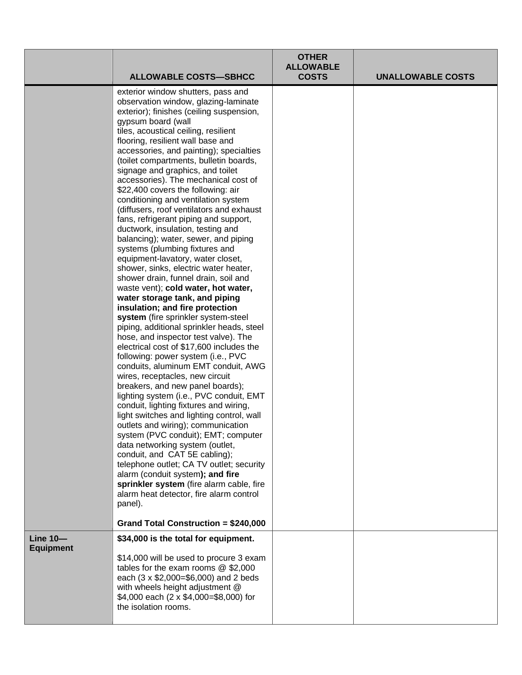|                                     | <b>ALLOWABLE COSTS-SBHCC</b>                                                                                                                                                                                                                                                                                                                                                                                                                                                                                                                                                                                                                                                                                                                                                                                                                                                                                                                                                                                                                                                                                                                                                                                                                                                                                                                                                                                                                                                                                                                                                                                                                                                                                                                           | <b>OTHER</b><br><b>ALLOWABLE</b><br><b>COSTS</b> | <b>UNALLOWABLE COSTS</b> |
|-------------------------------------|--------------------------------------------------------------------------------------------------------------------------------------------------------------------------------------------------------------------------------------------------------------------------------------------------------------------------------------------------------------------------------------------------------------------------------------------------------------------------------------------------------------------------------------------------------------------------------------------------------------------------------------------------------------------------------------------------------------------------------------------------------------------------------------------------------------------------------------------------------------------------------------------------------------------------------------------------------------------------------------------------------------------------------------------------------------------------------------------------------------------------------------------------------------------------------------------------------------------------------------------------------------------------------------------------------------------------------------------------------------------------------------------------------------------------------------------------------------------------------------------------------------------------------------------------------------------------------------------------------------------------------------------------------------------------------------------------------------------------------------------------------|--------------------------------------------------|--------------------------|
|                                     | exterior window shutters, pass and<br>observation window, glazing-laminate<br>exterior); finishes (ceiling suspension,<br>gypsum board (wall<br>tiles, acoustical ceiling, resilient<br>flooring, resilient wall base and<br>accessories, and painting); specialties<br>(toilet compartments, bulletin boards,<br>signage and graphics, and toilet<br>accessories). The mechanical cost of<br>\$22,400 covers the following: air<br>conditioning and ventilation system<br>(diffusers, roof ventilators and exhaust<br>fans, refrigerant piping and support,<br>ductwork, insulation, testing and<br>balancing); water, sewer, and piping<br>systems (plumbing fixtures and<br>equipment-lavatory, water closet,<br>shower, sinks, electric water heater,<br>shower drain, funnel drain, soil and<br>waste vent); cold water, hot water,<br>water storage tank, and piping<br>insulation; and fire protection<br>system (fire sprinkler system-steel<br>piping, additional sprinkler heads, steel<br>hose, and inspector test valve). The<br>electrical cost of \$17,600 includes the<br>following: power system (i.e., PVC<br>conduits, aluminum EMT conduit, AWG<br>wires, receptacles, new circuit<br>breakers, and new panel boards);<br>lighting system (i.e., PVC conduit, EMT<br>conduit, lighting fixtures and wiring,<br>light switches and lighting control, wall<br>outlets and wiring); communication<br>system (PVC conduit); EMT; computer<br>data networking system (outlet,<br>conduit, and CAT 5E cabling);<br>telephone outlet; CA TV outlet; security<br>alarm (conduit system); and fire<br>sprinkler system (fire alarm cable, fire<br>alarm heat detector, fire alarm control<br>panel).<br>Grand Total Construction = \$240,000 |                                                  |                          |
| <b>Line 10-</b><br><b>Equipment</b> | \$34,000 is the total for equipment.<br>\$14,000 will be used to procure 3 exam<br>tables for the exam rooms $@$ \$2,000<br>each (3 x \$2,000=\$6,000) and 2 beds<br>with wheels height adjustment @<br>\$4,000 each (2 x \$4,000=\$8,000) for<br>the isolation rooms.                                                                                                                                                                                                                                                                                                                                                                                                                                                                                                                                                                                                                                                                                                                                                                                                                                                                                                                                                                                                                                                                                                                                                                                                                                                                                                                                                                                                                                                                                 |                                                  |                          |